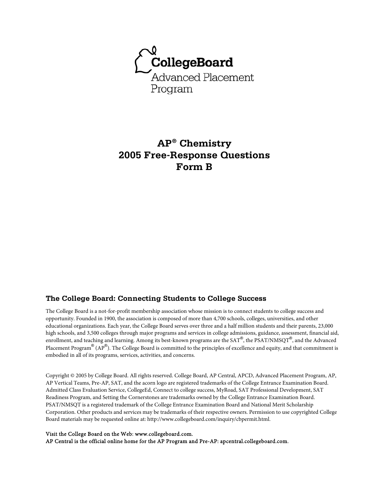

## **AP® Chemistry 2005 Free-Response Questions Form B**

#### **The College Board: Connecting Students to College Success**

The College Board is a not-for-profit membership association whose mission is to connect students to college success and opportunity. Founded in 1900, the association is composed of more than 4,700 schools, colleges, universities, and other educational organizations. Each year, the College Board serves over three and a half million students and their parents, 23,000 high schools, and 3,500 colleges through major programs and services in college admissions, guidance, assessment, financial aid, enrollment, and teaching and learning. Among its best-known programs are the SAT®, the PSAT/NMSQT®, and the Advanced Placement Program® (AP®). The College Board is committed to the principles of excellence and equity, and that commitment is embodied in all of its programs, services, activities, and concerns.

Copyright © 2005 by College Board. All rights reserved. College Board, AP Central, APCD, Advanced Placement Program, AP, AP Vertical Teams, Pre-AP, SAT, and the acorn logo are registered trademarks of the College Entrance Examination Board. Admitted Class Evaluation Service, CollegeEd, Connect to college success, MyRoad, SAT Professional Development, SAT Readiness Program, and Setting the Cornerstones are trademarks owned by the College Entrance Examination Board. PSAT/NMSQT is a registered trademark of the College Entrance Examination Board and National Merit Scholarship Corporation. Other products and services may be trademarks of their respective owners. Permission to use copyrighted College Board materials may be requested online at: http://www.collegeboard.com/inquiry/cbpermit.html.

#### Visit the College Board on the Web: www.collegeboard.com.

AP Central is the official online home for the AP Program and Pre-AP: apcentral.collegeboard.com.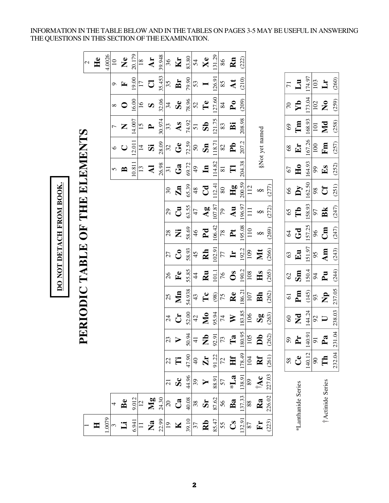INFORMATION IN THE TABLE BELOW AND IN THE TABLES ON PAGES 3-5 MAY BE USEFUL IN ANSWERING THE QUESTIONS IN THIS SECTION OF THE EXAMINATION.

|                                                   |                              |                     |                    |                                                                                                                                                                                                                                                                                                              |                           |                               |                 |               | DO NOT DETACH FROM BOOK. |                        |                  |                           |                           |                     |                |                         |                      |
|---------------------------------------------------|------------------------------|---------------------|--------------------|--------------------------------------------------------------------------------------------------------------------------------------------------------------------------------------------------------------------------------------------------------------------------------------------------------------|---------------------------|-------------------------------|-----------------|---------------|--------------------------|------------------------|------------------|---------------------------|---------------------------|---------------------|----------------|-------------------------|----------------------|
|                                                   |                              |                     |                    | $\mathbf{L}$                                                                                                                                                                                                                                                                                                 |                           | ERIODIC TABLE OF THE ELEMENTS |                 |               |                          |                        |                  |                           |                           |                     |                |                         |                      |
|                                                   |                              |                     |                    |                                                                                                                                                                                                                                                                                                              |                           |                               |                 |               |                          |                        |                  |                           |                           |                     |                |                         | $\mathcal{L}$        |
| $\blacksquare$                                    |                              |                     |                    |                                                                                                                                                                                                                                                                                                              |                           |                               |                 |               |                          |                        |                  |                           |                           |                     |                |                         | He                   |
| 1.0079                                            |                              |                     |                    |                                                                                                                                                                                                                                                                                                              |                           |                               |                 |               |                          |                        |                  |                           |                           |                     |                |                         | 4.0026               |
|                                                   |                              |                     |                    |                                                                                                                                                                                                                                                                                                              |                           |                               |                 |               |                          |                        |                  | 5                         | $\circ$                   | $\overline{C}$      |                | $\sigma$                | $\overline{10}$      |
| $\ddot{\mathbf{u}}$                               | $\mathbf{B}$ e               |                     |                    |                                                                                                                                                                                                                                                                                                              |                           |                               |                 |               |                          |                        |                  | $\mathbf{B}$              | $\cup$                    | Z                   | $\bullet$      | $\mathbf{F}$            | $\tilde{\mathbf{z}}$ |
|                                                   | 9.012                        |                     |                    |                                                                                                                                                                                                                                                                                                              |                           |                               |                 |               |                          |                        |                  | 10.811                    | 12.011                    | 14.007              | 16.00          | 19.00                   | 20.179               |
| $rac{6.941}{11}$                                  | $\overline{12}$              |                     |                    |                                                                                                                                                                                                                                                                                                              |                           |                               |                 |               |                          |                        |                  | $\mathfrak{L}$            | $\vec{4}$                 | $\overline{15}$     | $\frac{6}{1}$  | 17                      | $\frac{8}{18}$       |
| $\mathbf{z}$                                      | $\mathbf{M}\mathbf{g}$       |                     |                    |                                                                                                                                                                                                                                                                                                              |                           |                               |                 |               |                          |                        |                  | ₹                         | ö,                        | $\rightarrow$       | $\Omega$       | $\overline{C}$          | Ar                   |
|                                                   | 24.30                        |                     |                    |                                                                                                                                                                                                                                                                                                              |                           |                               |                 |               |                          |                        |                  | 26.98                     | 28.09                     | 30.974              | 32.06          | 35.453                  | 39.948               |
|                                                   |                              | $\overline{21}$     | 22                 | 23                                                                                                                                                                                                                                                                                                           | $^{24}$                   | 25                            | 26              | 27            | 28                       | 29                     | 30               | $\overline{\mathfrak{L}}$ | 32                        | 33                  | 34             | 35                      | 36                   |
| $\frac{22.99}{12}$ <b>K</b>                       | $ $ ສ $\bf \bar{C}$          | $\mathbf{S}$ c      | Ë                  |                                                                                                                                                                                                                                                                                                              | $\mathbf{C}$              | Mn                            | $\mathbf{F}$ e  | $\mathcal{S}$ | Ż                        | $\vec{c}$              | $\mathbf{Zn}$    | Ga                        | $G$ e                     | As                  | $S_{e}$        | Br                      | Kr                   |
|                                                   |                              | 44.96               | 47.90              |                                                                                                                                                                                                                                                                                                              | 52.00                     | 54.938                        | 55.85           | 58.93         | 58.69                    | 63.55                  | 65.39            | 69.72                     | 72.59                     | 74.92               | 78.96          | 79.90                   | 83.80                |
|                                                   | $\frac{40.08}{38}$           |                     | $\overline{6}$     |                                                                                                                                                                                                                                                                                                              | 42                        | 43                            | $\overline{4}$  | 45            | 46                       | 47                     | 48               | 49                        | $50\,$                    | $\overline{51}$     | 52             | 53                      | 54                   |
| $rac{39.10}{37}$<br><b>Rb</b><br>$rac{85.47}{55}$ | $\mathbf{S}\mathbf{r}$ 87.62 | $\approx$ $\approx$ | $\frac{21}{91.22}$ | $rac{1}{2}$<br>$rac{1}{4}$ $rac{1}{2}$ $rac{1}{2}$ $rac{1}{2}$ $rac{1}{2}$ $rac{1}{2}$ $rac{1}{2}$ $rac{1}{2}$ $rac{1}{2}$ $rac{1}{2}$ $rac{1}{2}$ $rac{1}{2}$ $rac{1}{2}$ $rac{1}{2}$ $rac{1}{2}$ $rac{1}{2}$ $rac{1}{2}$ $rac{1}{2}$ $rac{1}{2}$ $rac{1}{2}$ $rac{1}{2}$ $rac{1}{2}$ $rac{1}{2}$ $rac{1}{$ | $\overline{\mathbf{M}}$   | $\mathbf{T}$ c                | Ru              | Rh            | P <sub>d</sub>           | $\mathbf{A}\mathbf{g}$ | $C_{\mathbf{d}}$ | $\mathbf{u}$              | $\mathbf{S}$ n            | $\mathbf{S}$        | $\mathbf{T}$ e |                         | Xe                   |
|                                                   |                              | 88.91<br>57         |                    |                                                                                                                                                                                                                                                                                                              | 95.94                     | (98)                          | 101.1           | 102.91        | 106.42                   | 107.87                 | 12.41            | 114.82                    | 118.71                    | 121.75              | 127.60         | 126.91                  | 131.29               |
|                                                   | 99                           |                     |                    |                                                                                                                                                                                                                                                                                                              | 74                        | 75                            | $\gamma_6$      | 77            | $78\,$                   | $\mathcal{L}$          | $\rm 80$         | $\overline{\text{8}}$     | $82\,$                    | 83                  | 84             | 85                      | 86                   |
| $\mathcal{S}$                                     | Ba                           | $\sum_{i=1}^{n}$    | Hf                 |                                                                                                                                                                                                                                                                                                              | $\geqslant$               | Re                            | $\mathbf{S}$    | $\mathbf{H}$  | $\mathbf{r}$             | Au                     | $\mathbf{Hg}$    | E                         | $\mathbf{P}_{\mathbf{D}}$ | $\ddot{\mathbf{B}}$ | ${\bf P0}$     | $\overline{\mathbf{A}}$ | Rn                   |
| 132.91                                            | 137.33                       | 138.91              | 178.49             |                                                                                                                                                                                                                                                                                                              | 183.85                    | 186.2                         | 190.2           | 192.2         | 195.08                   | 196.97                 | 200.59           | 204.38                    | 207.2                     | 208.98              | (209)          | (210)                   | (222)                |
| 87                                                | $\overline{\text{88}}$       | 89                  | 104                | $\frac{180.95}{105}$                                                                                                                                                                                                                                                                                         | 106                       | 107                           | 108             | 109           | 110                      | $\Xi$                  | 112              |                           |                           |                     |                |                         |                      |
| $\mathbf{F}$                                      | Ra                           | $\mathbf{A}$ c      | Rf                 | $\mathbf{D}$                                                                                                                                                                                                                                                                                                 | $\mathbf{S}_{\mathbf{S}}$ | Bh                            | Hs              | Nt            | $\infty$                 | $\infty$               | $\infty$         |                           | §Not yet named            |                     |                |                         |                      |
| (223)                                             | 226.02                       | 227.03              | (261)              | (262)                                                                                                                                                                                                                                                                                                        | (263)                     | (262)                         | (265)           | (266)         | (269)                    | (272)                  | (277)            |                           |                           |                     |                |                         |                      |
|                                                   |                              |                     |                    |                                                                                                                                                                                                                                                                                                              |                           |                               |                 |               |                          |                        |                  |                           |                           |                     |                |                         |                      |
|                                                   |                              |                     | 58                 | 65                                                                                                                                                                                                                                                                                                           | $\degree$                 | $\overline{6}$                | $\mathcal{O}$   | 63            | $\mathcal{Z}$            | 65                     | 89               | 67                        | 68                        | 69                  | $\overline{C}$ | $\overline{71}$         |                      |
| *Lanthanide Series                                |                              |                     | $C$ e              | $\mathbf{r}$                                                                                                                                                                                                                                                                                                 | $\mathbf{Z}$              | Pm                            | Sm              | Eu            | Gd                       | Tb                     | $\mathbf{y}$     | $H_0$                     | $E_{\mathbf{r}}$          | Tm                  | $\mathbf{Y}$   | $\mathbf{L}$ u          |                      |
|                                                   |                              |                     | 140.12             | 140.91                                                                                                                                                                                                                                                                                                       | 144.24                    | (145)                         | 150.4           | 151.97        | 157.25                   | 158.93                 | 162.50           | 164.93                    | 167.26                    | 168.93              | 173.04         | 174.97                  |                      |
|                                                   |                              |                     | $^{90}$            | $\overline{5}$                                                                                                                                                                                                                                                                                               | $\mathcal{S}$             | 93                            | $\overline{56}$ | 95            | $96$                     | 57                     | $98\,$           | 66                        | 100                       | 101                 | 102            | 103                     |                      |
|                                                   | †Actinide Series             |                     | Th                 | $\mathbf{p}_a$                                                                                                                                                                                                                                                                                               | $\Box$                    | $\mathbf{p}$                  | $\mathbf{F}$    | Am            | $\mathbb{E}$             | Bk                     | $\mathbf{C}$     | $E_{\mathbf{S}}$          | Fm                        | Md                  | $\mathbf{S}$   | $\mathbf{L}$            |                      |
|                                                   |                              |                     | 232.04             | 231.04                                                                                                                                                                                                                                                                                                       | 238.03                    | 237.05                        | (244)           | (243)         | (247)                    | (247)                  | (251)            | (252)                     | (257)                     | (258)               | (259)          | (260)                   |                      |

DO NOT DETACH FROM BOOK.

**2**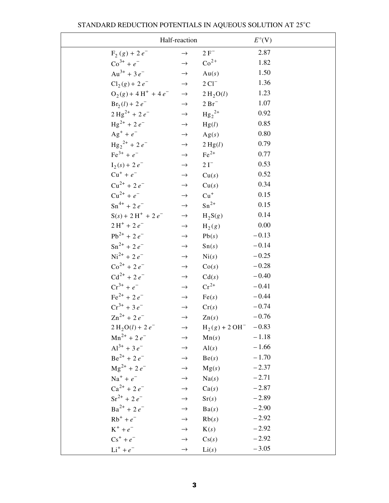|                                  | Half-reaction |                       | $E^{\circ}(\mathbf{V})$ |
|----------------------------------|---------------|-----------------------|-------------------------|
| $F_2(g) + 2e^{-}$                | $\rightarrow$ | $2 F^-$               | 2.87                    |
| $\text{Co}^{3+} + e^{-}$         | $\rightarrow$ | $Co2+$                | 1.82                    |
| $Au^{3+} + 3e^{-}$               | $\rightarrow$ | Au(s)                 | 1.50                    |
| $Cl_2(g) + 2e^-$                 | $\rightarrow$ | $2 \text{ Cl}^-$      | 1.36                    |
| $O_2(g) + 4H^+ + 4e^-$           | $\rightarrow$ | 2 H <sub>2</sub> O(l) | 1.23                    |
| $Br_2(l) + 2e^-$                 | $\rightarrow$ | $2Br^-$               | 1.07                    |
| $2 \text{ Hg}^{2+} + 2 e^{-}$    | $\rightarrow$ | $Hg_2^{2+}$           | 0.92                    |
| $Hg^{2+}$ + 2 $e^-$              | $\rightarrow$ | Hg(l)                 | 0.85                    |
| $Ag^+ + e^-$                     | $\rightarrow$ | Ag(s)                 | 0.80                    |
| $\text{Hg}_{2}^{2+}$ + 2 $e^{-}$ | $\rightarrow$ | 2 Hg(l)               | 0.79                    |
| $\text{Fe}^{3+} + e^{-}$         | $\rightarrow$ | $Fe2+$                | 0.77                    |
| $I_2(s) + 2e^{-t}$               | $\rightarrow$ | $2I^-$                | 0.53                    |
| $Cu^{+} + e^{-}$                 | $\rightarrow$ | Cu(s)                 | 0.52                    |
| $Cu^{2+} + 2e^{-}$               | $\rightarrow$ | Cu(s)                 | 0.34                    |
| $Cu^{2+} + e^{-}$                | $\rightarrow$ | $Cu+$                 | 0.15                    |
| $\text{Sn}^{4+} + 2e^{-}$        | $\rightarrow$ | $\mathrm{Sn}^{2+}$    | 0.15                    |
| $S(s) + 2H^{+} + 2e^{-}$         | $\rightarrow$ | $H_2S(g)$             | 0.14                    |
| $2H^+ + 2e^-$                    | $\rightarrow$ | $H_2(g)$              | 0.00                    |
| $Pb^{2+} + 2e^{-}$               | $\rightarrow$ | Pb(s)                 | $-0.13$                 |
| $\text{Sn}^{2+}$ + 2 $e^{-}$     | $\rightarrow$ | Sn(s)                 | $-0.14$                 |
| $Ni^{2+}$ + 2 $e^{-}$            | $\rightarrow$ | $\mathrm{Ni}(s)$      | $-0.25$                 |
| $\cos^{2+} + 2e^{-}$             | $\rightarrow$ | Co(s)                 | $-0.28$                 |
| $Cd^{2+} + 2e^{-}$               | $\rightarrow$ | Cd(s)                 | $-0.40$                 |
| $Cr^{3+} + e^{-}$                | $\rightarrow$ | $Cr^{2+}$             | $-0.41$                 |
| $\text{Fe}^{2+}$ + 2 $e^{-}$     | $\rightarrow$ | Fe(s)                 | $-0.44$                 |
| $Cr^{3+} + 3e^{-}$               | $\rightarrow$ | Cr(s)                 | $-0.74$                 |
| $\text{Zn}^{2+}$ + 2 $e^{-}$     | $\rightarrow$ | $\text{Zn}(s)$        | $-0.76$                 |
| $2 H_2O(l) + 2 e^-$              | $\rightarrow$ | $H_2(g) + 2OH^-$      | $-0.83$                 |
| $Mn^{2+} + 2e^-$                 | $\rightarrow$ | Mn(s)                 | $-1.18$                 |
| $Al^{3+}$ + 3 $e^-$              | $\rightarrow$ | AI(s)                 | $-1.66$                 |
| $Be^{2+} + 2e^{-}$               | $\rightarrow$ | Be(s)                 | $-1.70$                 |
| $\text{Mg}^{2+}$ + 2 $e^{-}$     | $\rightarrow$ | Mg(s)                 | $-2.37$                 |
| $Na^+ + e^-$                     | $\rightarrow$ | Na(s)                 | $-2.71$                 |
| $Ca^{2+} + 2e^{-}$               | $\rightarrow$ | Ca(s)                 | $-2.87$                 |
| $\text{Sr}^{2+}$ + 2 $e^{-}$     | $\rightarrow$ | Sr(s)                 | $-2.89$                 |
| $Ba^{2+} + 2e^{-}$               | $\rightarrow$ | Ba(s)                 | $-2.90$                 |
| $Rb^{+} + e^{-}$                 | $\rightarrow$ | Rb(s)                 | $-2.92$                 |
| $K^+ + e^-$                      | $\rightarrow$ | K(s)                  | $-2.92$                 |
| $Cs^{+} + e^{-}$                 | $\rightarrow$ | Cs(s)                 | $-2.92$                 |
| $\mathrm{Li}^+ + e^-$            | $\rightarrow$ | Li(s)                 | $-3.05$                 |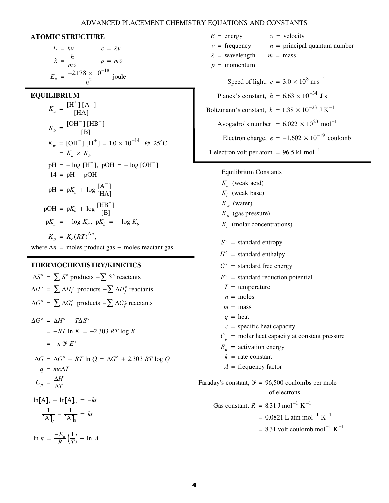#### ADVANCED PLACEMENT CHEMISTRY EQUATIONS AND CONSTANTS

#### **ATOMIC STRUCTURE**

$$
E = hv \t c = \lambda v
$$
  

$$
\lambda = \frac{h}{mv} \t p = mv
$$
  

$$
E_n = \frac{-2.178 \times 10^{-18}}{n^2} \text{ joule}
$$

**EQUILIBRIUM** 

$$
K_a = \frac{[H^+][A^-]}{[HA]}
$$
  
\n
$$
K_b = \frac{[OH^-][HB^+]}{[B]}
$$
  
\n
$$
K_w = [OH^-][H^+] = 1.0 \times 10^{-14} \text{ @ } 25^{\circ}\text{C}
$$
  
\n
$$
= K_a \times K_b
$$
  
\n
$$
pH = -\log [H^+], \text{ pOH} = -\log [OH^-]
$$
  
\n
$$
14 = pH + pOH
$$
  
\n
$$
pH = pK_a + \log \frac{[A^-]}{[HA]}
$$
  
\n
$$
pOH = pK_b + \log \frac{[HB^+]}{[B]}
$$
  
\n
$$
pK_a = -\log K_a, \text{ } pK_b = -\log K_b
$$
  
\n
$$
K_p = K_c (RT)^{\Delta n},
$$

where  $\Delta n$  = moles product gas – moles reactant gas

#### **THERMOCHEMISTRY/KINETICS**

$$
\Delta S^{\circ} = \sum S^{\circ} \text{ products } -\sum S^{\circ} \text{ reactants}
$$
  
\n
$$
\Delta H^{\circ} = \sum \Delta H_f^{\circ} \text{ products } -\sum \Delta H_f^{\circ} \text{ reactants}
$$
  
\n
$$
\Delta G^{\circ} = \sum \Delta G_f^{\circ} \text{ products } -\sum \Delta G_f^{\circ} \text{ reactants}
$$
  
\n
$$
\Delta G^{\circ} = \Delta H^{\circ} - T\Delta S^{\circ}
$$
  
\n
$$
= -RT \ln K = -2.303 RT \log K
$$
  
\n
$$
= -n \mathcal{F} E^{\circ}
$$
  
\n
$$
\Delta G = \Delta G^{\circ} + RT \ln Q = \Delta G^{\circ} + 2.303 RT \log Q
$$
  
\n
$$
q = mc\Delta T
$$
  
\n
$$
C_p = \frac{\Delta H}{\Delta T}
$$
  
\n
$$
\ln[A]_t - \ln[A]_0 = -kt
$$
  
\n
$$
\frac{1}{[A]_t} - \frac{1}{[A]_0} = kt
$$
  
\n
$$
\ln k = \frac{-E_a}{R} (\frac{1}{T}) + \ln A
$$

 $E =$  energy  $v =$  $v = \text{frequency}$   $n =$  $m =$  mass  $p =$  momentum  $\lambda$  = wavelength  $m =$  mass energy  $v =$  velocity  $n =$  principal quantum number Speed of light,  $c = 3.0 \times 10^8$  m s<sup>-1</sup> Planck's constant,  $h = 6.63 \times 10^{-34}$  J s Boltzmann's constant,  $k = 1.38 \times 10^{-23}$  J K<sup>-1</sup> Avogadro's number =  $6.022 \times 10^{23}$  mol<sup>-1</sup> Electron charge,  $e = -1.602 \times 10^{-19}$  coulomb 1 electron volt per atom =  $96.5$  kJ mol<sup>-1</sup>

#### Equilibrium Constants

(weak acid) *K a*  $K_b$  (weak base)  $K_w$  (water) (gas pressure) *K p* (molar concentrations) *K c*  $S^{\circ}$  = standard entropy  $H^{\circ}$  = standard enthalpy  $G^{\circ}$  = standard free energy  $E^{\circ}$  = standard reduction potential  $T =$  temperature  $n =$  moles  $m = \text{mass}$  $q =$  heat  $c =$  specific heat capacity  $C_p$  = molar heat capacity at constant pressure  $E_a$  = activation energy  $k =$  rate constant *A* = frequency factor Faraday's constant,  $\mathcal{F} = 96,500$  coulombs per mole of electrons

Gas constant,  $R = 8.31$  J mol<sup>-1</sup> K<sup>-1</sup>  $= 0.0821$  L atm mol<sup>-1</sup> K<sup>-1</sup>

 $= 8.31$  volt coulomb mol<sup>-1</sup> K<sup>-1</sup>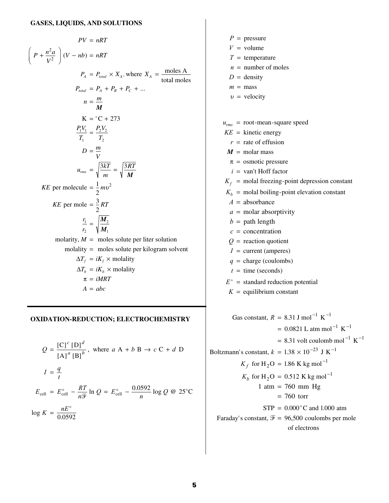$$
PV = nRT
$$
\n
$$
\left(P + \frac{n^2 a}{V^2}\right)(V - nb) = nRT
$$
\n
$$
P_A = P_{total} \times X_A, \text{ where } X_A = \frac{\text{moles A}}{\text{total moles}}
$$
\n
$$
P_{total} = P_A + P_B + P_C + \dots
$$
\n
$$
n = \frac{m}{M}
$$
\n
$$
K = {}^{\circ}C + 273
$$
\n
$$
\frac{P_1V_1}{T_1} = \frac{P_2V_2}{T_2}
$$
\n
$$
D = \frac{m}{V}
$$
\n
$$
u_{rms} = \sqrt{\frac{3kT}{m}} = \sqrt{\frac{3RT}{M}}
$$
\n
$$
KE \text{ per molecule } = \frac{1}{2}mv^2
$$
\n
$$
KE \text{ per molecule } = \frac{3}{2}RT
$$
\n
$$
\frac{r_1}{r_2} = \sqrt{\frac{M_2}{M_1}}
$$
\n
$$
\text{molarity}, M = \text{moles solute per liter solution}
$$
\n
$$
\text{molarity} = \text{moles solute per kilogram solvent}
$$
\n
$$
\Delta T_f = iK_f \times \text{molality}
$$
\n
$$
\pi = iMRT
$$
\n
$$
A = abc
$$

#### **OXIDATION-REDUCTION; ELECTROCHEMISTRY**

$$
Q = \frac{[C]^c [D]^d}{[A]^a [B]^b}, \text{ where } a A + b B \rightarrow c C + d D
$$
  

$$
I = \frac{q}{t}
$$
  

$$
E_{cell} = E_{cell}^{\circ} - \frac{RT}{n^{\frac{m}{2}}} \ln Q = E_{cell}^{\circ} - \frac{0.0592}{n} \log Q \text{ @ } 25^{\circ}C
$$
  

$$
\log K = \frac{nE^{\circ}}{0.0592}
$$

$$
P = \text{pressure}
$$
\n
$$
V = \text{volume}
$$
\n
$$
T = \text{temperature}
$$
\n
$$
n = \text{number of moles}
$$
\n
$$
D = \text{density}
$$
\n
$$
m = \text{mass}
$$
\n
$$
v = \text{velocity}
$$
\n
$$
u_{\text{rms}} = \text{root-mean-square speed}
$$
\n
$$
KE = \text{kinetic energy}
$$
\n
$$
r = \text{rate of effusion}
$$
\n
$$
M = \text{molar mass}
$$
\n
$$
\pi = \text{osmotic pressure}
$$
\n
$$
i = \text{van't Hoff factor}
$$
\n
$$
K_f = \text{modal foreign-point depression constant}
$$
\n
$$
K_b = \text{modal boiling-point elevation constant}
$$
\n
$$
A = \text{absorbane}
$$
\n
$$
a = \text{molar absorption}
$$
\n
$$
Q = \text{path length}
$$
\n
$$
c = \text{concentration}
$$
\n
$$
Q = \text{reaction quotient}
$$
\n
$$
I = \text{current (amperes)}
$$
\n
$$
q = \text{charge (coulombs)}
$$
\n
$$
t = \text{time (seconds)}
$$
\n
$$
E^{\circ} = \text{standard reduction potential}
$$
\n
$$
K = \text{equilibrium constant}
$$
\n
$$
Gas \text{ constant}, R = 8.31 \text{ J mol}^{-1} \text{ K}^{-1}
$$
\n
$$
= 0.0821 \text{ L atm mol}^{-1} \text{ K}^{-1}
$$
\n
$$
= 8.31 \text{ volt coulomb mol}^{-1} \text{ K}^{-1}
$$
\n
$$
= 8.31 \text{ volt coulomb mol}^{-1} \text{ K}^{-1}
$$
\n
$$
K_f \text{ for H}_2\text{O} = 1.86 \text{ K kg mol}^{-1}
$$

 $K_b$  for H<sub>2</sub>O = 0.512 K kg mol<sup>-1</sup>

 $1 atm = 760 mm Hg$  $= 760$  torr

Faraday's constant,  $\mathcal{F} = 96,500$  coulombs per mole

 $STP = 0.000^{\circ}$ C and 1.000 atm

of electrons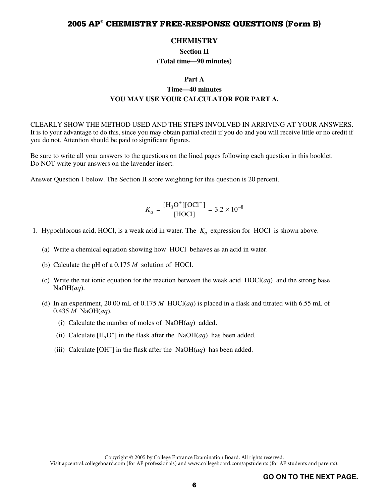#### **CHEMISTRY**

**Section II (Total time—90 minutes)** 

#### **Part A**

## **Time—40 minutes YOU MAY USE YOUR CALCULATOR FOR PART A.**

CLEARLY SHOW THE METHOD USED AND THE STEPS INVOLVED IN ARRIVING AT YOUR ANSWERS. It is to your advantage to do this, since you may obtain partial credit if you do and you will receive little or no credit if you do not. Attention should be paid to significant figures.

Be sure to write all your answers to the questions on the lined pages following each question in this booklet. Do NOT write your answers on the lavender insert.

Answer Question 1 below. The Section II score weighting for this question is 20 percent.

$$
K_a = \frac{[\text{H}_3\text{O}^+][\text{OCI}^-]}{[\text{HOC}]} = 3.2 \times 10^{-8}
$$

- 1. Hypochlorous acid, HOCl, is a weak acid in water. The  $K_a$  expression for HOCl is shown above.
	- (a) Write a chemical equation showing how HOCl behaves as an acid in water.
	- (b) Calculate the pH of a 0.175 *M* solution of HOCl.
	- (c) Write the net ionic equation for the reaction between the weak acid HOCl(*aq*) and the strong base NaOH(*aq*).
	- (d) In an experiment, 20.00 mL of 0.175 *M* HOCl(*aq*) is placed in a flask and titrated with 6.55 mL of 0.435 *M* NaOH(*aq*).
		- (i) Calculate the number of moles of NaOH(*aq*) added.
		- (ii) Calculate  $[H_3O^+]$  in the flask after the NaOH(*aq*) has been added.
		- (iii) Calculate [OH−] in the flask after the NaOH(*aq*) has been added.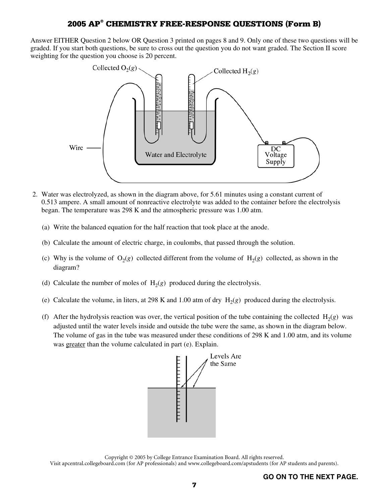Answer EITHER Question 2 below OR Question 3 printed on pages 8 and 9. Only one of these two questions will be graded. If you start both questions, be sure to cross out the question you do not want graded. The Section II score weighting for the question you choose is 20 percent.



- 2. Water was electrolyzed, as shown in the diagram above, for 5.61 minutes using a constant current of 0.513 ampere. A small amount of nonreactive electrolyte was added to the container before the electrolysis began. The temperature was 298 K and the atmospheric pressure was 1.00 atm.
	- (a) Write the balanced equation for the half reaction that took place at the anode.
	- (b) Calculate the amount of electric charge, in coulombs, that passed through the solution.
	- (c) Why is the volume of  $O_2(g)$  collected different from the volume of  $H_2(g)$  collected, as shown in the diagram?
	- (d) Calculate the number of moles of  $H_2(g)$  produced during the electrolysis.
	- (e) Calculate the volume, in liters, at 298 K and 1.00 atm of dry  $H_2(g)$  produced during the electrolysis.
	- (f) After the hydrolysis reaction was over, the vertical position of the tube containing the collected  $H_2(g)$  was adjusted until the water levels inside and outside the tube were the same, as shown in the diagram below. The volume of gas in the tube was measured under these conditions of 298 K and 1.00 atm, and its volume was greater than the volume calculated in part (e). Explain.



Copyright © 2005 by College Entrance Examination Board. All rights reserved. Visit apcentral.collegeboard.com (for AP professionals) and www.collegeboard.com/apstudents (for AP students and parents).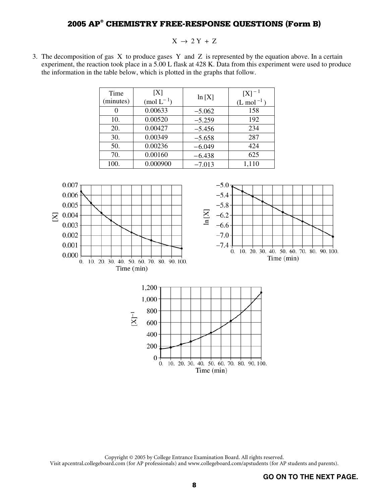#### $X \rightarrow 2 Y + Z$

 3. The decomposition of gas X to produce gases Y and Z is represented by the equation above. In a certain experiment, the reaction took place in a 5.00 L flask at 428 K. Data from this experiment were used to produce the information in the table below, which is plotted in the graphs that follow.

| Time<br>(minutes) | [X]<br>$\pmod{L^{-1}}$ | ln[X]    | $[X]^{-1}$<br>$(L \text{ mol}^{-1})$ |
|-------------------|------------------------|----------|--------------------------------------|
|                   | 0.00633                | $-5.062$ | 158                                  |
| 10.               | 0.00520                | $-5.259$ | 192                                  |
| 20.               | 0.00427                | $-5.456$ | 234                                  |
| 30.               | 0.00349                | $-5.658$ | 287                                  |
| 50.               | 0.00236                | $-6.049$ | 424                                  |
| 70.               | 0.00160                | $-6.438$ | 625                                  |
| 100.              | 0.000900               | $-7.013$ | 1,110                                |



Copyright © 2005 by College Entrance Examination Board. All rights reserved. Visit apcentral.collegeboard.com (for AP professionals) and www.collegeboard.com/apstudents (for AP students and parents).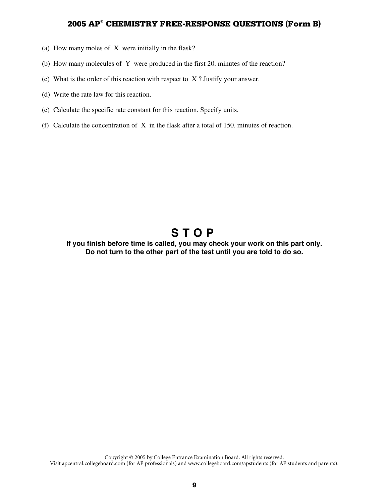- (a) How many moles of X were initially in the flask?
- (b) How many molecules of Y were produced in the first 20. minutes of the reaction?
- (c) What is the order of this reaction with respect to X ? Justify your answer.
- (d) Write the rate law for this reaction.
- (e) Calculate the specific rate constant for this reaction. Specify units.
- (f) Calculate the concentration of X in the flask after a total of 150. minutes of reaction.

# **STOP**

#### **If you finish before time is called, you may check your work on this part only. Do not turn to the other part of the test until you are told to do so.**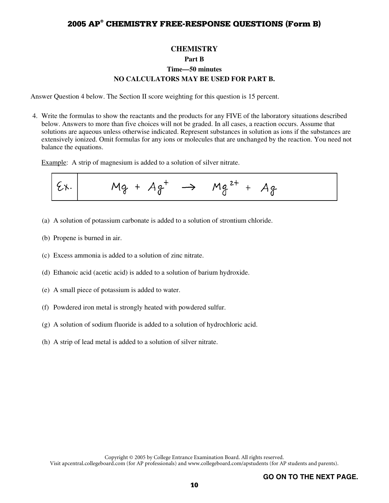### **CHEMISTRY Part B Time—50 minutes NO CALCULATORS MAY BE USED FOR PART B.**

Answer Question 4 below. The Section II score weighting for this question is 15 percent.

 4. Write the formulas to show the reactants and the products for any FIVE of the laboratory situations described below. Answers to more than five choices will not be graded. In all cases, a reaction occurs. Assume that solutions are aqueous unless otherwise indicated. Represent substances in solution as ions if the substances are extensively ionized. Omit formulas for any ions or molecules that are unchanged by the reaction. You need not balance the equations.

Example: A strip of magnesium is added to a solution of silver nitrate.

- (a) A solution of potassium carbonate is added to a solution of strontium chloride.
- (b) Propene is burned in air.
- (c) Excess ammonia is added to a solution of zinc nitrate.
- (d) Ethanoic acid (acetic acid) is added to a solution of barium hydroxide.
- (e) A small piece of potassium is added to water.
- (f) Powdered iron metal is strongly heated with powdered sulfur.
- (g) A solution of sodium fluoride is added to a solution of hydrochloric acid.
- (h) A strip of lead metal is added to a solution of silver nitrate.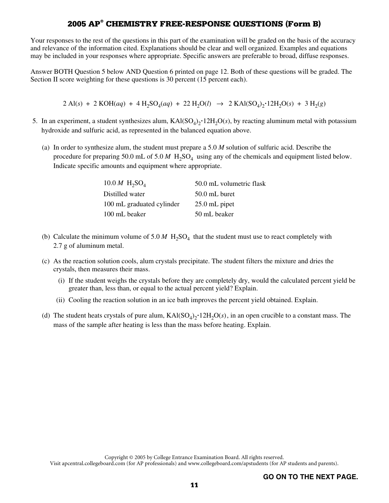Your responses to the rest of the questions in this part of the examination will be graded on the basis of the accuracy and relevance of the information cited. Explanations should be clear and well organized. Examples and equations may be included in your responses where appropriate. Specific answers are preferable to broad, diffuse responses.

Answer BOTH Question 5 below AND Question 6 printed on page 12. Both of these questions will be graded. The Section II score weighting for these questions is 30 percent (15 percent each).

 $2 \text{ Al}(s) + 2 \text{ KOH}(aq) + 4 \text{ H}_2\text{SO}_4(aq) + 22 \text{ H}_2\text{O}(l) \rightarrow 2 \text{ KAl}(\text{SO}_4)_2 \cdot 12 \text{H}_2\text{O}(s) + 3 \text{ H}_2(g)$ 

- 5. In an experiment, a student synthesizes alum,  $KAI(SO<sub>4</sub>)<sub>2</sub>$ <sup>+</sup> $12H<sub>2</sub>O(s)$ , by reacting aluminum metal with potassium hydroxide and sulfuric acid, as represented in the balanced equation above.
	- (a) In order to synthesize alum, the student must prepare a 5.0 *M* solution of sulfuric acid. Describe the procedure for preparing 50.0 mL of 5.0 *M* H<sub>2</sub>SO<sub>4</sub> using any of the chemicals and equipment listed below. Indicate specific amounts and equipment where appropriate.

| 10.0 <i>M</i> $H_2SO_4$   | 50.0 mL volumetric flask |
|---------------------------|--------------------------|
| Distilled water           | $50.0$ mL buret          |
| 100 mL graduated cylinder | $25.0$ mL pipet          |
| 100 mL beaker             | 50 mL beaker             |

- (b) Calculate the minimum volume of 5.0  $M$  H<sub>2</sub>SO<sub>4</sub> that the student must use to react completely with 2.7 g of aluminum metal.
- (c) As the reaction solution cools, alum crystals precipitate. The student filters the mixture and dries the crystals, then measures their mass.
	- (i) If the student weighs the crystals before they are completely dry, would the calculated percent yield be greater than, less than, or equal to the actual percent yield? Explain.
	- (ii) Cooling the reaction solution in an ice bath improves the percent yield obtained. Explain.
- (d) The student heats crystals of pure alum,  $KAI(SO<sub>4</sub>)<sub>2</sub>$ <sup>+</sup> $12H<sub>2</sub>O(s)$ , in an open crucible to a constant mass. The mass of the sample after heating is less than the mass before heating. Explain.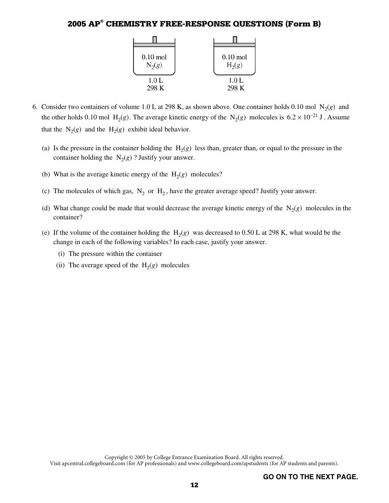

- 6. Consider two containers of volume 1.0 L at 298 K, as shown above. One container holds 0.10 mol  $N_2(g)$  and the other holds 0.10 mol H<sub>2</sub>(*g*). The average kinetic energy of the N<sub>2</sub>(*g*) molecules is 6.2 × 10<sup>-21</sup> J. Assume that the  $N_2(g)$  and the  $H_2(g)$  exhibit ideal behavior.
	- (a) Is the pressure in the container holding the  $H_2(g)$  less than, greater than, or equal to the pressure in the container holding the  $N_2(g)$ ? Justify your answer.
	- (b) What is the average kinetic energy of the  $H_2(g)$  molecules?
	- (c) The molecules of which gas,  $N_2$  or  $H_2$ , have the greater average speed? Justify your answer.
	- (d) What change could be made that would decrease the average kinetic energy of the  $N_2(g)$  molecules in the container?
	- (e) If the volume of the container holding the  $H_2(g)$  was decreased to 0.50 L at 298 K, what would be the change in each of the following variables? In each case, justify your answer.
		- (i) The pressure within the container
		- (ii) The average speed of the  $H_2(g)$  molecules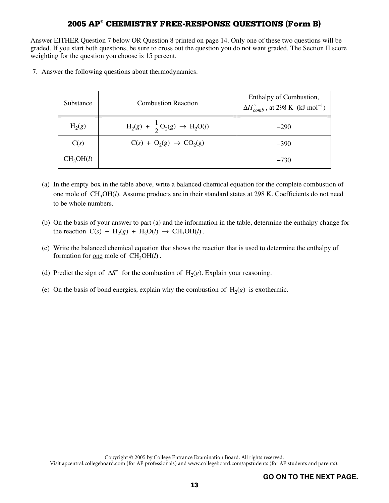Answer EITHER Question 7 below OR Question 8 printed on page 14. Only one of these two questions will be graded. If you start both questions, be sure to cross out the question you do not want graded. The Section II score weighting for the question you choose is 15 percent.

7. Answer the following questions about thermodynamics.

| Substance             | <b>Combustion Reaction</b>                       | Enthalpy of Combustion,<br>$\Delta H_{comb}^{\circ}$ , at 298 K (kJ mol <sup>-1</sup> ) |
|-----------------------|--------------------------------------------------|-----------------------------------------------------------------------------------------|
| $H_2(g)$              | $H_2(g) + \frac{1}{2}O_2(g) \rightarrow H_2O(l)$ | $-290$                                                                                  |
| C(s)                  | $C(s) + O_2(g) \rightarrow CO_2(g)$              | $-390$                                                                                  |
| CH <sub>3</sub> OH(l) |                                                  | $-730$                                                                                  |

- (a) In the empty box in the table above, write a balanced chemical equation for the complete combustion of one mole of CH<sub>3</sub>OH(*l*). Assume products are in their standard states at 298 K. Coefficients do not need to be whole numbers.
- (b) On the basis of your answer to part (a) and the information in the table, determine the enthalpy change for the reaction  $C(s)$  + H<sub>2</sub>(*g*) + H<sub>2</sub>O(*l*)  $\rightarrow$  CH<sub>3</sub>OH(*l*).
- (c) Write the balanced chemical equation that shows the reaction that is used to determine the enthalpy of formation for <u>one</u> mole of  $CH<sub>3</sub>OH(l)$ .
- (d) Predict the sign of  $\Delta S^{\circ}$  for the combustion of H<sub>2</sub>(*g*). Explain your reasoning.
- (e) On the basis of bond energies, explain why the combustion of  $H_2(g)$  is exothermic.